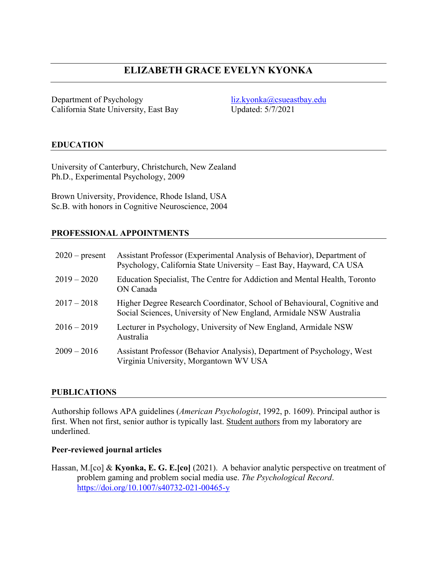# **ELIZABETH GRACE EVELYN KYONKA**

Department of Psychology California State University, East Bay [liz.kyonka@csueastbay.edu](mailto:liz.kyonka@csueastbay.edu) Updated: 5/7/2021

### **EDUCATION**

University of Canterbury, Christchurch, New Zealand Ph.D., Experimental Psychology, 2009

Brown University, Providence, Rhode Island, USA Sc.B. with honors in Cognitive Neuroscience, 2004

### **PROFESSIONAL APPOINTMENTS**

| $2020$ – present | Assistant Professor (Experimental Analysis of Behavior), Department of<br>Psychology, California State University - East Bay, Hayward, CA USA  |
|------------------|------------------------------------------------------------------------------------------------------------------------------------------------|
| $2019 - 2020$    | Education Specialist, The Centre for Addiction and Mental Health, Toronto<br>ON Canada                                                         |
| $2017 - 2018$    | Higher Degree Research Coordinator, School of Behavioural, Cognitive and<br>Social Sciences, University of New England, Armidale NSW Australia |
| $2016 - 2019$    | Lecturer in Psychology, University of New England, Armidale NSW<br>Australia                                                                   |
| $2009 - 2016$    | Assistant Professor (Behavior Analysis), Department of Psychology, West<br>Virginia University, Morgantown WV USA                              |

### **PUBLICATIONS**

Authorship follows APA guidelines (*American Psychologist*, 1992, p. 1609). Principal author is first. When not first, senior author is typically last. Student authors from my laboratory are underlined.

#### **Peer-reviewed journal articles**

Hassan, M.[co] & **Kyonka, E. G. E.[co]** (2021). A behavior analytic perspective on treatment of problem gaming and problem social media use. *The Psychological Record*. <https://doi.org/10.1007/s40732-021-00465-y>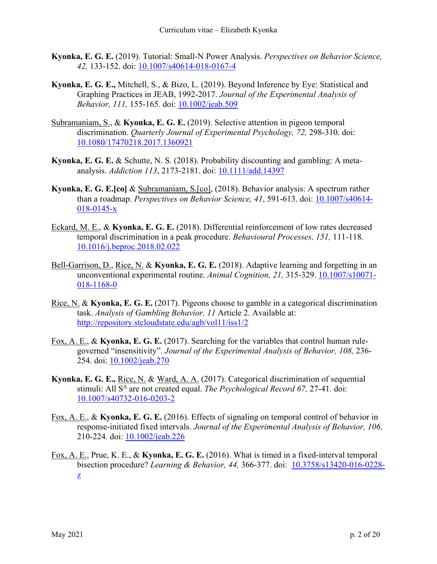- **Kyonka, E. G. E.** (2019). Tutorial: Small-N Power Analysis. *Perspectives on Behavior Science, 42,* 133-152. doi: [10.1007/s40614-018-0167-4](http://dx.doi.org/10.1007/s40614-018-0167-4)
- **Kyonka, E. G. E.,** Mitchell, S., & Bizo, L. (2019). Beyond Inference by Eye: Statistical and Graphing Practices in JEAB, 1992-2017. *Journal of the Experimental Analysis of Behavior, 111,* 155-165. doi: [10.1002/jeab.509](http://dx.doi.org/10.1002/jeab.509)
- Subramaniam, S., & **Kyonka, E. G. E.** (2019). Selective attention in pigeon temporal discrimination. *Quarterly Journal of Experimental Psychology, 72,* 298-310. doi: [10.1080/17470218.2017.1360921](http://dx.doi.org/10.1080/17470218.2017.1360921)
- **Kyonka, E. G. E.** & Schutte, N. S. (2018). Probability discounting and gambling: A metaanalysis. *Addiction 113*, 2173-2181. doi: [10.1111/add.14397](https://doi.org/10.1111/add.14397)
- **Kyonka, E. G. E.[co]** & Subramaniam, S.[co], (2018). Behavior analysis: A spectrum rather than a roadmap. *Perspectives on Behavior Science, 41*, 591-613. doi: [10.1007/s40614-](http://dx.doi.org/10.1007/s40614-018-0145-x) [018-0145-x](http://dx.doi.org/10.1007/s40614-018-0145-x)
- Eckard, M. E., & **Kyonka, E. G. E.** (2018). Differential reinforcement of low rates decreased temporal discrimination in a peak procedure. *Behavioural Processes, 151,* 111-118*.*  [10.1016/j.beproc.2018.02.022](https://doi.org/10.1016/j.beproc.2018.02.022)
- Bell-Garrison, D., Rice, N. & **Kyonka, E. G. E.** (2018). Adaptive learning and forgetting in an unconventional experimental routine. *Animal Cognition, 21,* 315-329. [10.1007/s10071-](https://doi.org/10.1007/s10071-018-1168-0) [018-1168-0](https://doi.org/10.1007/s10071-018-1168-0)
- Rice, N. & **Kyonka, E. G. E.** (2017). Pigeons choose to gamble in a categorical discrimination task. *Analysis of Gambling Behavior, 11* Article 2. Available at: <http://repository.stcloudstate.edu/agb/vol11/iss1/2>
- Fox, A. E., & **Kyonka, E. G. E.** (2017). Searching for the variables that control human rulegoverned "insensitivity". *Journal of the Experimental Analysis of Behavior, 108,* 236- 254. doi: [10.1002/jeab.270](http://dx.doi.org/10.1002/jeab.270)
- **Kyonka, E. G. E.,** Rice, N. & Ward, A. A. (2017). Categorical discrimination of sequential stimuli: All S<sup> $\triangle$ </sup> are not created equal. *The Psychological Record 67*, 27-41. doi: [10.1007/s40732-016-0203-2](http://dx.doi.org/10.1007/s40732-016-0203-2)
- Fox, A. E., & **Kyonka, E. G. E.** (2016). Effects of signaling on temporal control of behavior in response-initiated fixed intervals. *Journal of the Experimental Analysis of Behavior, 106,*  210-224*.* doi: [10.1002/jeab.226](http://dx.doi.org/10.1002/jeab.226)
- Fox, A. E., Prue, K. E., & **Kyonka, E. G. E.** (2016). What is timed in a fixed-interval temporal bisection procedure? *Learning & Behavior, 44,* 366-377. doi: [10.3758/s13420-016-0228](http://dx.doi.org/10.3758/s13420-016-0228-z) [z](http://dx.doi.org/10.3758/s13420-016-0228-z).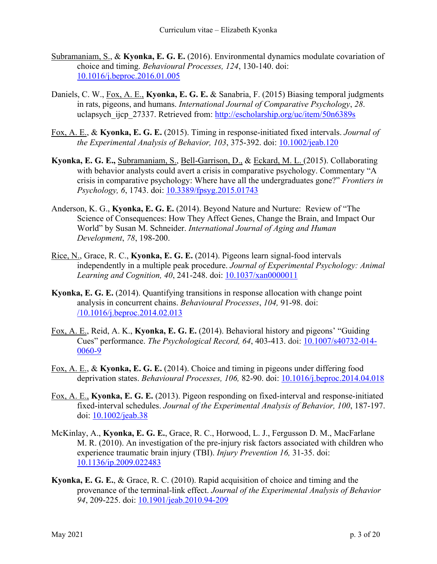- Subramaniam, S., & **Kyonka, E. G. E.** (2016). Environmental dynamics modulate covariation of choice and timing. *Behavioural Processes, 124*, 130-140. doi: [10.1016/j.beproc.2016.01.005](http://dx.doi.org/10.1016/j.beproc.2016.01.005)
- Daniels, C. W., Fox, A. E., **Kyonka, E. G. E.** & Sanabria, F. (2015) Biasing temporal judgments in rats, pigeons, and humans. *International Journal of Comparative Psychology*, *28*. uclapsych ijcp 27337. Retrieved from:<http://escholarship.org/uc/item/50n6389s>
- Fox, A. E., & **Kyonka, E. G. E.** (2015). Timing in response-initiated fixed intervals. *Journal of the Experimental Analysis of Behavior, 103*, 375-392. doi: [10.1002/jeab.120](http://dx.doi.org/10.1002/jeab.120)
- **Kyonka, E. G. E.,** Subramaniam, S., Bell-Garrison, D., & Eckard, M. L. (2015). Collaborating with behavior analysts could avert a crisis in comparative psychology. Commentary "A crisis in comparative psychology: Where have all the undergraduates gone?" *Frontiers in Psychology, 6*, 1743. doi: [10.3389/fpsyg.2015.01743](http://dx.doi.org/10.3389/fpsyg.2015.01743)
- Anderson, K. G., **Kyonka, E. G. E.** (2014). Beyond Nature and Nurture: Review of "The Science of Consequences: How They Affect Genes, Change the Brain, and Impact Our World" by Susan M. Schneider. *International Journal of Aging and Human Development*, *78*, 198-200.
- Rice, N., Grace, R. C., **Kyonka, E. G. E.** (2014). Pigeons learn signal-food intervals independently in a multiple peak procedure. *Journal of Experimental Psychology: Animal Learning and Cognition, 40*, 241-248. doi: [10.1037/xan0000011](http://psycnet.apa.org/doi/10.1037/xan0000011)
- **Kyonka, E. G. E.** (2014). Quantifying transitions in response allocation with change point analysis in concurrent chains. *Behavioural Processes*, *104,* 91-98. doi: [/10.1016/j.beproc.2014.02.013](http://dx.doi.org/10.1016/j.beproc.2014.02.013)
- Fox, A. E., Reid, A. K., **Kyonka, E. G. E.** (2014). Behavioral history and pigeons' "Guiding Cues" performance. *The Psychological Record, 64*, 403-413. doi: [10.1007/s40732-014-](http://dx.doi.org/10.1007/s40732-014-0060-9) [0060-9](http://dx.doi.org/10.1007/s40732-014-0060-9)
- Fox, A. E., & **Kyonka, E. G. E.** (2014). Choice and timing in pigeons under differing food deprivation states. *Behavioural Processes, 106,* 82-90. doi: [10.1016/j.beproc.2014.04.018](http://dx.doi.org/10.1016/j.beproc.2014.04.018)
- Fox, A. E., **Kyonka, E. G. E.** (2013). Pigeon responding on fixed-interval and response-initiated fixed-interval schedules. *Journal of the Experimental Analysis of Behavior, 100*, 187-197. doi: [10.1002/jeab.38](https://doi.org/10.1002/jeab.38)
- McKinlay, A., **Kyonka, E. G. E.**, Grace, R. C., Horwood, L. J., Fergusson D. M., MacFarlane M. R. (2010). An investigation of the pre-injury risk factors associated with children who experience traumatic brain injury (TBI). *Injury Prevention 16,* 31-35. doi: [10.1136/ip.2009.022483](http://dx.doi.org/10.1136/ip.2009.022483)
- **Kyonka, E. G. E.**, & Grace, R. C. (2010). Rapid acquisition of choice and timing and the provenance of the terminal-link effect. *Journal of the Experimental Analysis of Behavior 94*, 209-225. doi: [10.1901/jeab.2010.94-209](https://doi.org/10.1901/jeab.2010.94-209)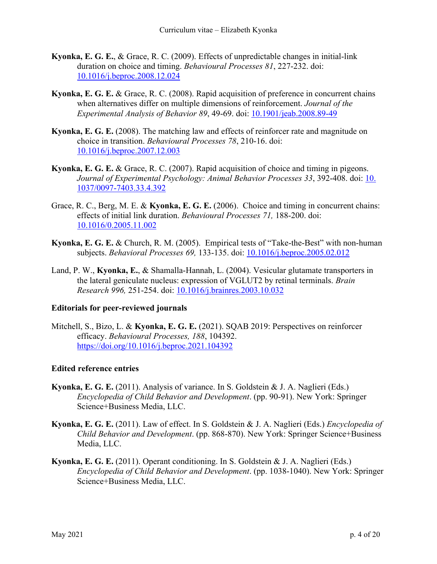- **Kyonka, E. G. E.**, & Grace, R. C. (2009). Effects of unpredictable changes in initial-link duration on choice and timing. *Behavioural Processes 81*, 227-232. doi: [10.1016/j.beproc.2008.12.024](https://doi.org/10.1016/j.beproc.2008.12.024)
- **Kyonka, E. G. E.** & Grace, R. C. (2008). Rapid acquisition of preference in concurrent chains when alternatives differ on multiple dimensions of reinforcement. *Journal of the Experimental Analysis of Behavior 89*, 49-69. doi: [10.1901/jeab.2008.89-49](https://doi.org/10.1901/jeab.2008.89-49)
- **Kyonka, E. G. E.** (2008). The matching law and effects of reinforcer rate and magnitude on choice in transition. *Behavioural Processes 78*, 210-16. doi: [10.1016/j.beproc.2007.12.003](https://doi.org/10.1016/j.beproc.2007.12.003)
- **Kyonka, E. G. E.** & Grace, R. C. (2007). Rapid acquisition of choice and timing in pigeons. *Journal of Experimental Psychology: Animal Behavior Processes 33*, 392-408. doi: [10.](https://doi.org/10.1037/0097-7403.33.4.392) [1037/0097-7403.33.4.392](https://doi.org/10.1037/0097-7403.33.4.392)
- Grace, R. C., Berg, M. E. & **Kyonka, E. G. E.** (2006). Choice and timing in concurrent chains: effects of initial link duration. *Behavioural Processes 71,* 188-200. doi: [10.1016/0.2005.11.002](https://doi.org/10.1016/j.beproc.2005.11.002)
- **Kyonka, E. G. E.** & Church, R. M. (2005). Empirical tests of "Take-the-Best" with non-human subjects. *Behavioral Processes 69,* 133-135. doi: [10.1016/j.beproc.2005.02.012](https://doi.org/10.1016/j.beproc.2005.02.012)
- Land, P. W., **Kyonka, E.**, & Shamalla-Hannah, L. (2004). Vesicular glutamate transporters in the lateral geniculate nucleus: expression of VGLUT2 by retinal terminals. *Brain Research 996,* 251-254. doi: [10.1016/j.brainres.2003.10.032](https://doi.org/10.1016/j.brainres.2003.10.032)

### **Editorials for peer-reviewed journals**

Mitchell, S., Bizo, L. & **Kyonka, E. G. E.** (2021). SQAB 2019: Perspectives on reinforcer efficacy. *Behavioural Processes, 188*, 104392. <https://doi.org/10.1016/j.beproc.2021.104392>

## **Edited reference entries**

- **Kyonka, E. G. E.** (2011). Analysis of variance. In S. Goldstein & J. A. Naglieri (Eds.) *Encyclopedia of Child Behavior and Development*. (pp. 90-91). New York: Springer Science+Business Media, LLC.
- **Kyonka, E. G. E.** (2011). Law of effect. In S. Goldstein & J. A. Naglieri (Eds.) *Encyclopedia of Child Behavior and Development*. (pp. 868-870). New York: Springer Science+Business Media, LLC.
- **Kyonka, E. G. E.** (2011). Operant conditioning. In S. Goldstein & J. A. Naglieri (Eds.) *Encyclopedia of Child Behavior and Development*. (pp. 1038-1040). New York: Springer Science+Business Media, LLC.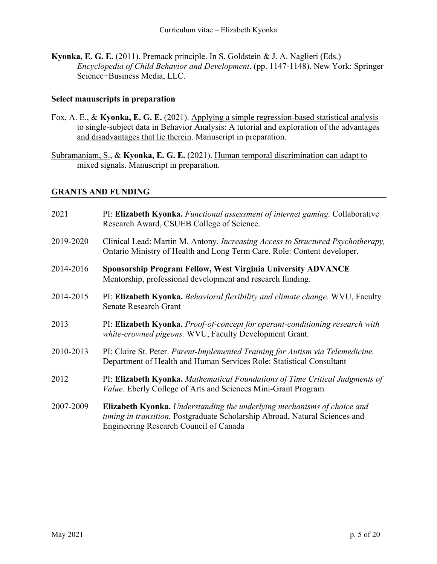**Kyonka, E. G. E.** (2011). Premack principle. In S. Goldstein & J. A. Naglieri (Eds.) *Encyclopedia of Child Behavior and Development*. (pp. 1147-1148). New York: Springer Science+Business Media, LLC.

### **Select manuscripts in preparation**

- Fox, A. E., & **Kyonka, E. G. E.** (2021). Applying a simple regression-based statistical analysis to single-subject data in Behavior Analysis: A tutorial and exploration of the advantages and disadvantages that lie therein. Manuscript in preparation.
- Subramaniam, S., & **Kyonka, E. G. E.** (2021). Human temporal discrimination can adapt to mixed signals. Manuscript in preparation.

### **GRANTS AND FUNDING**

| 2021      | PI: Elizabeth Kyonka. Functional assessment of internet gaming. Collaborative<br>Research Award, CSUEB College of Science.                                                                              |
|-----------|---------------------------------------------------------------------------------------------------------------------------------------------------------------------------------------------------------|
| 2019-2020 | Clinical Lead: Martin M. Antony. Increasing Access to Structured Psychotherapy,<br>Ontario Ministry of Health and Long Term Care. Role: Content developer.                                              |
| 2014-2016 | Sponsorship Program Fellow, West Virginia University ADVANCE<br>Mentorship, professional development and research funding.                                                                              |
| 2014-2015 | PI: Elizabeth Kyonka. Behavioral flexibility and climate change. WVU, Faculty<br><b>Senate Research Grant</b>                                                                                           |
| 2013      | PI: Elizabeth Kyonka. Proof-of-concept for operant-conditioning research with<br>white-crowned pigeons. WVU, Faculty Development Grant.                                                                 |
| 2010-2013 | PI: Claire St. Peter. Parent-Implemented Training for Autism via Telemedicine.<br>Department of Health and Human Services Role: Statistical Consultant                                                  |
| 2012      | PI: Elizabeth Kyonka. Mathematical Foundations of Time Critical Judgments of<br>Value. Eberly College of Arts and Sciences Mini-Grant Program                                                           |
| 2007-2009 | <b>Elizabeth Kyonka.</b> Understanding the underlying mechanisms of choice and<br>timing in transition. Postgraduate Scholarship Abroad, Natural Sciences and<br>Engineering Research Council of Canada |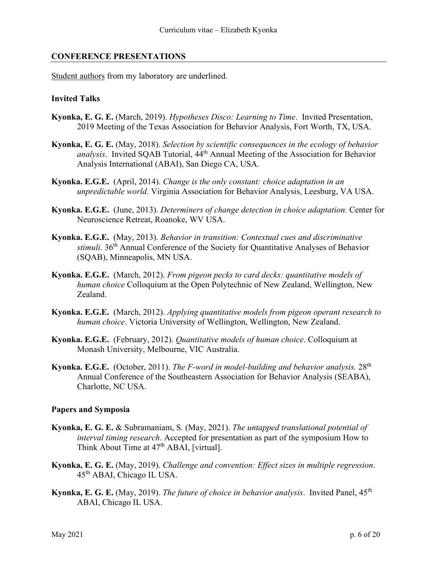### **CONFERENCE PRESENTATIONS**

Student authors from my laboratory are underlined.

#### **Invited Talks**

- **Kyonka, E. G. E.** (March, 2019). *Hypotheses Disco: Learning to Time*. Invited Presentation, 2019 Meeting of the Texas Association for Behavior Analysis, Fort Worth, TX, USA.
- **Kyonka, E. G. E.** (May, 2018). *Selection by scientific consequences in the ecology of behavior analysis*. Invited SQAB Tutorial,  $44<sup>th</sup>$  Annual Meeting of the Association for Behavior Analysis International (ABAI), San Diego CA, USA.
- **Kyonka. E.G.E.** (April, 2014). *Change is the only constant: choice adaptation in an unpredictable world.* Virginia Association for Behavior Analysis, Leesburg, VA USA.
- **Kyonka. E.G.E.** (June, 2013). *Determiners of change detection in choice adaptation.* Center for Neuroscience Retreat, Roanoke, WV USA.
- **Kyonka. E.G.E.** (May, 2013). *Behavior in transition: Contextual cues and discriminative stimuli.* 36th Annual Conference of the Society for Quantitative Analyses of Behavior (SQAB), Minneapolis, MN USA.
- **Kyonka. E.G.E.** (March, 2012). *From pigeon pecks to card decks: quantitative models of human choice* Colloquium at the Open Polytechnic of New Zealand, Wellington, New Zealand.
- **Kyonka. E.G.E.** (March, 2012). *Applying quantitative models from pigeon operant research to human choice*. Victoria University of Wellington, Wellington, New Zealand.
- **Kyonka. E.G.E.** (February, 2012). *Quantitative models of human choice*. Colloquium at Monash University, Melbourne, VIC Australia.
- **Kyonka. E.G.E.** (October, 2011). *The F-word in model-building and behavior analysis.* 28th Annual Conference of the Southeastern Association for Behavior Analysis (SEABA), Charlotte, NC USA.

### **Papers and Symposia**

- **Kyonka, E. G. E.** & Subramaniam, S. (May, 2021). *The untapped translational potential of interval timing research*. Accepted for presentation as part of the symposium How to Think About Time at 47<sup>th</sup> ABAI, [virtual].
- **Kyonka, E. G. E.** (May, 2019). *Challenge and convention: Effect sizes in multiple regression*. 45th ABAI, Chicago IL USA.
- **Kyonka, E. G. E.** (May, 2019). *The future of choice in behavior analysis*. Invited Panel, 45<sup>th</sup> ABAI, Chicago IL USA.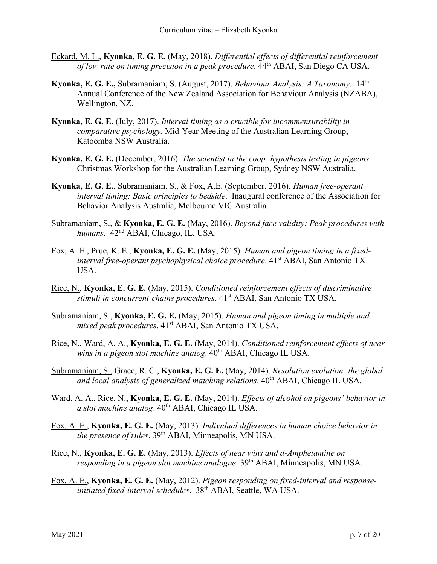- Eckard, M. L., **Kyonka, E. G. E.** (May, 2018). *Differential effects of differential reinforcement of low rate on timing precision in a peak procedure*. 44th ABAI, San Diego CA USA.
- **Kyonka, E. G. E.,** Subramaniam, S. (August, 2017). *Behaviour Analysis: A Taxonomy*. 14th Annual Conference of the New Zealand Association for Behaviour Analysis (NZABA), Wellington, NZ.
- **Kyonka, E. G. E.** (July, 2017). *Interval timing as a crucible for incommensurability in comparative psychology.* Mid-Year Meeting of the Australian Learning Group, Katoomba NSW Australia.
- **Kyonka, E. G. E.** (December, 2016). *The scientist in the coop: hypothesis testing in pigeons.* Christmas Workshop for the Australian Learning Group, Sydney NSW Australia.
- **Kyonka, E. G. E.**, Subramaniam, S., & Fox, A.E. (September, 2016). *Human free-operant interval timing: Basic principles to bedside*. Inaugural conference of the Association for Behavior Analysis Australia, Melbourne VIC Australia.
- Subramaniam, S., & **Kyonka, E. G. E.** (May, 2016). *Beyond face validity: Peak procedures with humans*. 42nd ABAI, Chicago, IL, USA.
- Fox, A. E., Prue, K. E., **Kyonka, E. G. E.** (May, 2015). *Human and pigeon timing in a fixedinterval free-operant psychophysical choice procedure*. 41<sup>st</sup> ABAI, San Antonio TX USA.
- Rice, N., **Kyonka, E. G. E.** (May, 2015). *Conditioned reinforcement effects of discriminative*  stimuli in concurrent-chains procedures. 41<sup>st</sup> ABAI, San Antonio TX USA.
- Subramaniam, S., **Kyonka, E. G. E.** (May, 2015). *Human and pigeon timing in multiple and mixed peak procedures*. 41<sup>st</sup> ABAI, San Antonio TX USA.
- Rice, N., Ward, A. A., **Kyonka, E. G. E.** (May, 2014). *Conditioned reinforcement effects of near*  wins in a pigeon slot machine analog.  $40<sup>th</sup>$  ABAI, Chicago IL USA.
- Subramaniam, S., Grace, R. C., **Kyonka, E. G. E.** (May, 2014). *Resolution evolution: the global*  and local analysis of generalized matching relations.  $40^{th}$  ABAI, Chicago IL USA.
- Ward, A. A., Rice, N., **Kyonka, E. G. E.** (May, 2014). *Effects of alcohol on pigeons' behavior in a slot machine analog.*  $40^{th}$  ABAI, Chicago IL USA.
- Fox, A. E., **Kyonka, E. G. E.** (May, 2013). *Individual differences in human choice behavior in the presence of rules*. 39<sup>th</sup> ABAI, Minneapolis, MN USA.
- Rice, N., **Kyonka, E. G. E.** (May, 2013). *Effects of near wins and d-Amphetamine on responding in a pigeon slot machine analogue*. 39<sup>th</sup> ABAI, Minneapolis, MN USA.
- Fox, A. E., **Kyonka, E. G. E.** (May, 2012). *Pigeon responding on fixed-interval and responseinitiated fixed-interval schedules*. 38th ABAI, Seattle, WA USA.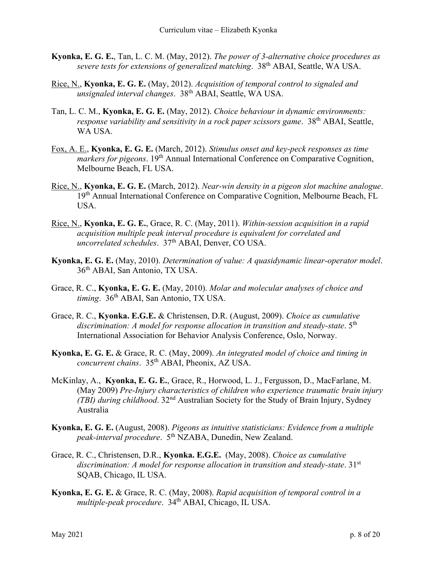- **Kyonka, E. G. E.**, Tan, L. C. M. (May, 2012). *The power of 3-alternative choice procedures as severe tests for extensions of generalized matching*. 38th ABAI, Seattle, WA USA.
- Rice, N., **Kyonka, E. G. E.** (May, 2012). *Acquisition of temporal control to signaled and unsignaled interval changes*. 38th ABAI, Seattle, WA USA.
- Tan, L. C. M., **Kyonka, E. G. E.** (May, 2012). *Choice behaviour in dynamic environments: response variability and sensitivity in a rock paper scissors game.* 38<sup>th</sup> ABAI, Seattle, WA USA.
- Fox, A. E., **Kyonka, E. G. E.** (March, 2012). *Stimulus onset and key-peck responses as time markers for pigeons*. 19<sup>th</sup> Annual International Conference on Comparative Cognition, Melbourne Beach, FL USA.
- Rice, N., **Kyonka, E. G. E.** (March, 2012). *Near-win density in a pigeon slot machine analogue*. 19<sup>th</sup> Annual International Conference on Comparative Cognition, Melbourne Beach, FL USA.
- Rice, N., **Kyonka, E. G. E.**, Grace, R. C. (May, 2011). *Within-session acquisition in a rapid acquisition multiple peak interval procedure is equivalent for correlated and uncorrelated schedules*. 37th ABAI, Denver, CO USA.
- **Kyonka, E. G. E.** (May, 2010). *Determination of value: A quasidynamic linear-operator model*. 36<sup>th</sup> ABAI, San Antonio, TX USA.
- Grace, R. C., **Kyonka, E. G. E.** (May, 2010). *Molar and molecular analyses of choice and timing*. 36th ABAI, San Antonio, TX USA.
- Grace, R. C., **Kyonka. E.G.E.** & Christensen, D.R. (August, 2009). *Choice as cumulative*  discrimination: A model for response allocation in transition and steady-state. 5<sup>th</sup> International Association for Behavior Analysis Conference, Oslo, Norway.
- **Kyonka, E. G. E.** & Grace, R. C. (May, 2009). *An integrated model of choice and timing in concurrent chains*. 35th ABAI, Pheonix, AZ USA.
- McKinlay, A., **Kyonka, E. G. E.**, Grace, R., Horwood, L. J., Fergusson, D., MacFarlane, M. (May 2009) *Pre-Injury characteristics of children who experience traumatic brain injury (TBI) during childhood*. 32nd Australian Society for the Study of Brain Injury, Sydney Australia
- **Kyonka, E. G. E.** (August, 2008). *Pigeons as intuitive statisticians: Evidence from a multiple peak-interval procedure*. 5th NZABA, Dunedin, New Zealand.
- Grace, R. C., Christensen, D.R., **Kyonka. E.G.E.** (May, 2008). *Choice as cumulative*  discrimination: A model for response allocation in transition and steady-state. 31<sup>st</sup> SQAB, Chicago, IL USA.
- **Kyonka, E. G. E.** & Grace, R. C. (May, 2008). *Rapid acquisition of temporal control in a multiple-peak procedure*. 34th ABAI, Chicago, IL USA.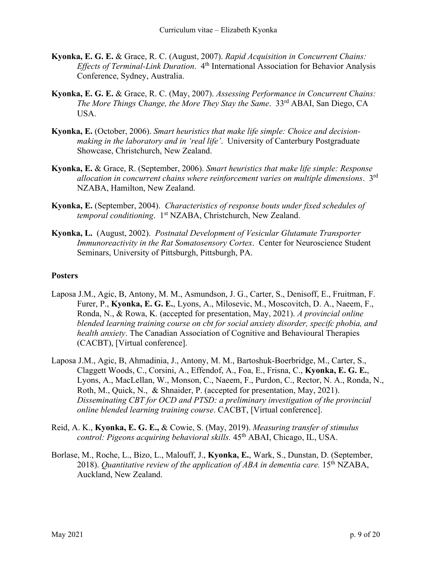- **Kyonka, E. G. E.** & Grace, R. C. (August, 2007). *Rapid Acquisition in Concurrent Chains: Effects of Terminal-Link Duration*. 4th International Association for Behavior Analysis Conference, Sydney, Australia.
- **Kyonka, E. G. E.** & Grace, R. C. (May, 2007). *Assessing Performance in Concurrent Chains: The More Things Change, the More They Stay the Same*. 33rd ABAI, San Diego, CA USA.
- **Kyonka, E.** (October, 2006). *Smart heuristics that make life simple: Choice and decisionmaking in the laboratory and in 'real life'*. University of Canterbury Postgraduate Showcase, Christchurch, New Zealand.
- **Kyonka, E.** & Grace, R. (September, 2006). *Smart heuristics that make life simple: Response allocation in concurrent chains where reinforcement varies on multiple dimensions*. 3rd NZABA, Hamilton, New Zealand.
- **Kyonka, E.** (September, 2004). *Characteristics of response bouts under fixed schedules of temporal conditioning.* 1<sup>st</sup> NZABA, Christchurch, New Zealand.
- **Kyonka, L.** (August, 2002). *Postnatal Development of Vesicular Glutamate Transporter Immunoreactivity in the Rat Somatosensory Cortex*. Center for Neuroscience Student Seminars, University of Pittsburgh, Pittsburgh, PA.

### **Posters**

- Laposa J.M., Agic, B, Antony, M. M., Asmundson, J. G., Carter, S., Denisoff, E., Fruitman, F. Furer, P., **Kyonka, E. G. E.**, Lyons, A., Milosevic, M., Moscovitch, D. A., Naeem, F., Ronda, N., & Rowa, K. (accepted for presentation, May, 2021). *A provincial online blended learning training course on cbt for social anxiety disorder, specifc phobia, and health anxiety*. The Canadian Association of Cognitive and Behavioural Therapies (CACBT), [Virtual conference].
- Laposa J.M., Agic, B, Ahmadinia, J., Antony, M. M., Bartoshuk-Boerbridge, M., Carter, S., Claggett Woods, C., Corsini, A., Effendof, A., Foa, E., Frisna, C., **Kyonka, E. G. E.**, Lyons, A., MacLellan, W., Monson, C., Naeem, F., Purdon, C., Rector, N. A., Ronda, N., Roth, M., Quick, N., & Shnaider, P. (accepted for presentation, May, 2021). *Disseminating CBT for OCD and PTSD: a preliminary investigation of the provincial online blended learning training course*. CACBT, [Virtual conference].
- Reid, A. K., **Kyonka, E. G. E.,** & Cowie, S. (May, 2019). *Measuring transfer of stimulus control: Pigeons acquiring behavioral skills.* 45th ABAI, Chicago, IL, USA.
- Borlase, M., Roche, L., Bizo, L., Malouff, J., **Kyonka, E.**, Wark, S., Dunstan, D. (September, 2018). *Quantitative review of the application of ABA in dementia care.* 15<sup>th</sup> NZABA, Auckland, New Zealand.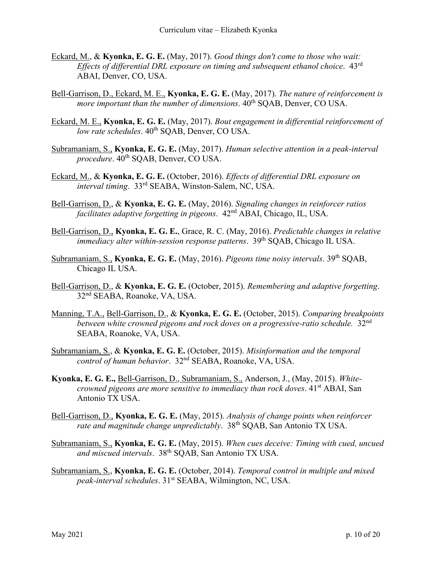- Eckard, M., & **Kyonka, E. G. E.** (May, 2017). *Good things don't come to those who wait: Effects of differential DRL exposure on timing and subsequent ethanol choice*. 43rd ABAI, Denver, CO, USA.
- Bell-Garrison, D., Eckard, M. E., **Kyonka, E. G. E.** (May, 2017). *The nature of reinforcement is more important than the number of dimensions.*  $40^{th}$  SQAB, Denver, CO USA.
- Eckard, M. E., **Kyonka, E. G. E.** (May, 2017). *Bout engagement in differential reinforcement of low rate schedules*.  $40^{th}$  SOAB, Denver, CO USA.
- Subramaniam, S., **Kyonka, E. G. E.** (May, 2017). *Human selective attention in a peak-interval procedure*. 40<sup>th</sup> SQAB, Denver, CO USA.
- Eckard, M., & **Kyonka, E. G. E.** (October, 2016). *Effects of differential DRL exposure on interval timing*. 33rd SEABA, Winston-Salem, NC, USA.
- Bell-Garrison, D., & **Kyonka, E. G. E.** (May, 2016). *Signaling changes in reinforcer ratios facilitates adaptive forgetting in pigeons*. 42nd ABAI, Chicago, IL, USA.
- Bell-Garrison, D., **Kyonka, E. G. E.**, Grace, R. C. (May, 2016). *Predictable changes in relative immediacy alter within-session response patterns*. 39<sup>th</sup> SQAB, Chicago IL USA.
- Subramaniam, S., **Kyonka, E. G. E.** (May, 2016). *Pigeons time noisy intervals*. 39th SQAB, Chicago IL USA.
- Bell-Garrison, D., & **Kyonka, E. G. E.** (October, 2015). *Remembering and adaptive forgetting*. 32nd SEABA, Roanoke, VA, USA.
- Manning, T.A., Bell-Garrison, D., & **Kyonka, E. G. E.** (October, 2015). *Comparing breakpoints between white crowned pigeons and rock doves on a progressive-ratio schedule.* 32nd SEABA, Roanoke, VA, USA.
- Subramaniam, S., & **Kyonka, E. G. E.** (October, 2015). *Misinformation and the temporal control of human behavior*. 32nd SEABA, Roanoke, VA, USA.
- **Kyonka, E. G. E.,** Bell-Garrison, D., Subramaniam, S., Anderson, J., (May, 2015). *Whitecrowned pigeons are more sensitive to immediacy than rock doves.* 41<sup>st</sup> ABAI, San Antonio TX USA.
- Bell-Garrison, D., **Kyonka, E. G. E.** (May, 2015). *Analysis of change points when reinforcer rate and magnitude change unpredictably*. 38th SQAB, San Antonio TX USA.
- Subramaniam, S., **Kyonka, E. G. E.** (May, 2015). *When cues deceive: Timing with cued, uncued and miscued intervals*. 38th SQAB, San Antonio TX USA.
- Subramaniam, S., **Kyonka, E. G. E.** (October, 2014). *Temporal control in multiple and mixed peak-interval schedules*. 31st SEABA, Wilmington, NC, USA.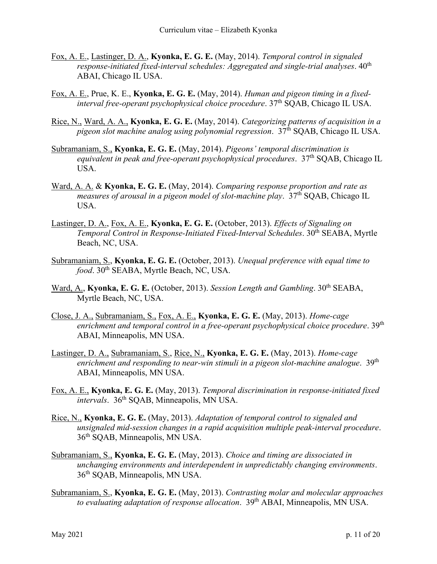- Fox, A. E., Lastinger, D. A., **Kyonka, E. G. E.** (May, 2014). *Temporal control in signaled response-initiated fixed-interval schedules: Aggregated and single-trial analyses.*  $40^{\text{th}}$ ABAI, Chicago IL USA.
- Fox, A. E., Prue, K. E., **Kyonka, E. G. E.** (May, 2014). *Human and pigeon timing in a fixedinterval free-operant psychophysical choice procedure.* 37<sup>th</sup> SQAB, Chicago IL USA.
- Rice, N., Ward, A. A., **Kyonka, E. G. E.** (May, 2014). *Categorizing patterns of acquisition in a pigeon slot machine analog using polynomial regression*. 37th SQAB, Chicago IL USA.
- Subramaniam, S., **Kyonka, E. G. E.** (May, 2014). *Pigeons' temporal discrimination is equivalent in peak and free-operant psychophysical procedures.* 37<sup>th</sup> SQAB, Chicago IL USA.
- Ward, A. A. & **Kyonka, E. G. E.** (May, 2014). *Comparing response proportion and rate as measures of arousal in a pigeon model of slot-machine play*. 37th SQAB, Chicago IL USA.
- Lastinger, D. A., Fox, A. E., **Kyonka, E. G. E.** (October, 2013). *Effects of Signaling on Temporal Control in Response-Initiated Fixed-Interval Schedules*. 30th SEABA, Myrtle Beach, NC, USA.
- Subramaniam, S., **Kyonka, E. G. E.** (October, 2013). *Unequal preference with equal time to food*. 30<sup>th</sup> SEABA, Myrtle Beach, NC, USA.
- Ward, A., Kyonka, E. G. E. (October, 2013). *Session Length and Gambling*. 30<sup>th</sup> SEABA, Myrtle Beach, NC, USA.
- Close, J. A., Subramaniam, S., Fox, A. E., **Kyonka, E. G. E.** (May, 2013). *Home-cage*  enrichment and temporal control in a free-operant psychophysical choice procedure. 39<sup>th</sup> ABAI, Minneapolis, MN USA.
- Lastinger, D. A., Subramaniam, S., Rice, N., **Kyonka, E. G. E.** (May, 2013). *Home-cage enrichment and responding to near-win stimuli in a pigeon slot-machine analogue*. 39th ABAI, Minneapolis, MN USA.
- Fox, A. E., **Kyonka, E. G. E.** (May, 2013). *Temporal discrimination in response-initiated fixed intervals.* 36<sup>th</sup> SOAB, Minneapolis, MN USA.
- Rice, N., **Kyonka, E. G. E.** (May, 2013). *Adaptation of temporal control to signaled and unsignaled mid-session changes in a rapid acquisition multiple peak-interval procedure*. 36th SQAB, Minneapolis, MN USA.
- Subramaniam, S., **Kyonka, E. G. E.** (May, 2013). *Choice and timing are dissociated in unchanging environments and interdependent in unpredictably changing environments*. 36th SQAB, Minneapolis, MN USA.
- Subramaniam, S., **Kyonka, E. G. E.** (May, 2013). *Contrasting molar and molecular approaches*  to evaluating adaptation of response allocation. 39<sup>th</sup> ABAI, Minneapolis, MN USA.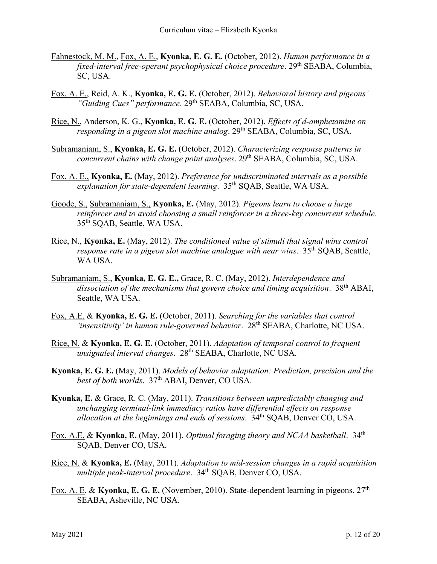- Fahnestock, M. M., Fox, A. E., **Kyonka, E. G. E.** (October, 2012). *Human performance in a fixed-interval free-operant psychophysical choice procedure.* 29<sup>th</sup> SEABA, Columbia, SC, USA.
- Fox, A. E., Reid, A. K., **Kyonka, E. G. E.** (October, 2012). *Behavioral history and pigeons'*  "Guiding Cues" performance. 29<sup>th</sup> SEABA, Columbia, SC, USA.
- Rice, N., Anderson, K. G., **Kyonka, E. G. E.** (October, 2012). *Effects of d-amphetamine on responding in a pigeon slot machine analog.* 29<sup>th</sup> SEABA, Columbia, SC, USA.
- Subramaniam, S., **Kyonka, E. G. E.** (October, 2012). *Characterizing response patterns in concurrent chains with change point analyses.* 29<sup>th</sup> SEABA, Columbia, SC, USA.
- Fox, A. E., **Kyonka, E.** (May, 2012). *Preference for undiscriminated intervals as a possible explanation for state-dependent learning*. 35th SQAB, Seattle, WA USA.
- Goode, S., Subramaniam, S., **Kyonka, E.** (May, 2012). *Pigeons learn to choose a large reinforcer and to avoid choosing a small reinforcer in a three-key concurrent schedule*. 35th SQAB, Seattle, WA USA.
- Rice, N., **Kyonka, E.** (May, 2012). *The conditioned value of stimuli that signal wins control response rate in a pigeon slot machine analogue with near wins.* 35<sup>th</sup> SQAB, Seattle, WA USA.
- Subramaniam, S., **Kyonka, E. G. E.,** Grace, R. C. (May, 2012). *Interdependence and dissociation of the mechanisms that govern choice and timing acquisition*. 38th ABAI, Seattle, WA USA.
- Fox, A.E. & **Kyonka, E. G. E.** (October, 2011). *Searching for the variables that control 'insensitivity' in human rule-governed behavior*. 28th SEABA, Charlotte, NC USA.
- Rice, N. & **Kyonka, E. G. E.** (October, 2011). *Adaptation of temporal control to frequent unsignaled interval changes*. 28th SEABA, Charlotte, NC USA.
- **Kyonka, E. G. E.** (May, 2011). *Models of behavior adaptation: Prediction, precision and the*  best of both worlds. 37<sup>th</sup> ABAI, Denver, CO USA.
- **Kyonka, E.** & Grace, R. C. (May, 2011). *Transitions between unpredictably changing and unchanging terminal-link immediacy ratios have differential effects on response allocation at the beginnings and ends of sessions*. 34th SQAB, Denver CO, USA.
- Fox, A.E. & **Kyonka, E.** (May, 2011). *Optimal foraging theory and NCAA basketball*. 34th SQAB, Denver CO, USA.
- Rice, N. & **Kyonka, E.** (May, 2011). *Adaptation to mid-session changes in a rapid acquisition multiple peak-interval procedure.* 34<sup>th</sup> SOAB, Denver CO, USA.
- Fox, A. E. & **Kyonka, E. G. E.** (November, 2010). State-dependent learning in pigeons. 27<sup>th</sup> SEABA, Asheville, NC USA.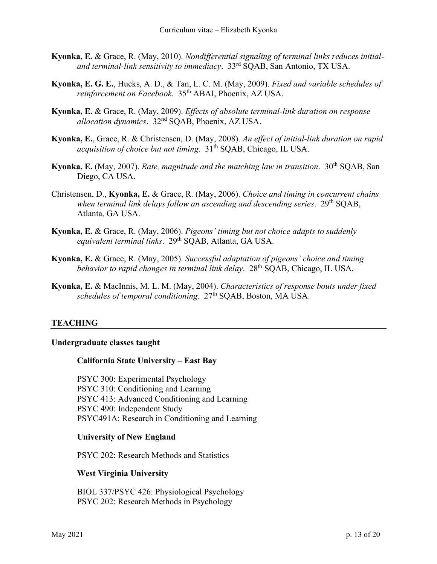- **Kyonka, E.** & Grace, R. (May, 2010). *Nondifferential signaling of terminal links reduces initialand terminal-link sensitivity to immediacy*. 33rd SQAB, San Antonio, TX USA.
- **Kyonka, E. G. E.**, Hucks, A. D., & Tan, L. C. M. (May, 2009). *Fixed and variable schedules of reinforcement on Facebook*. 35th ABAI, Phoenix, AZ USA.
- **Kyonka, E.** & Grace, R. (May, 2009). *Effects of absolute terminal-link duration on response allocation dynamics*. 32nd SQAB, Phoenix, AZ USA.
- **Kyonka, E.**, Grace, R. & Christensen, D. (May, 2008). *An effect of initial-link duration on rapid acquisition of choice but not timing.*  $31<sup>th</sup> SQAB$ , Chicago, IL USA.
- **Kyonka, E.** (May, 2007). *Rate, magnitude and the matching law in transition.* 30<sup>th</sup> SQAB, San Diego, CA USA.
- Christensen, D., **Kyonka, E.** & Grace, R. (May, 2006). *Choice and timing in concurrent chains when terminal link delays follow an ascending and descending series*. 29th SQAB, Atlanta, GA USA.
- **Kyonka, E.** & Grace, R. (May, 2006). *Pigeons' timing but not choice adapts to suddenly*  equivalent terminal links. 29<sup>th</sup> SQAB, Atlanta, GA USA.
- **Kyonka, E.** & Grace, R. (May, 2005). *Successful adaptation of pigeons' choice and timing behavior to rapid changes in terminal link delay.* 28<sup>th</sup> SQAB, Chicago, IL USA.
- **Kyonka, E.** & MacInnis, M. L. M. (May, 2004). *Characteristics of response bouts under fixed schedules of temporal conditioning*. 27th SQAB, Boston, MA USA.

## **TEACHING**

### **Undergraduate classes taught**

### **California State University – East Bay**

PSYC 300: Experimental Psychology PSYC 310: Conditioning and Learning PSYC 413: Advanced Conditioning and Learning PSYC 490: Independent Study PSYC491A: Research in Conditioning and Learning

#### **University of New England**

PSYC 202: Research Methods and Statistics

### **West Virginia University**

BIOL 337/PSYC 426: Physiological Psychology PSYC 202: Research Methods in Psychology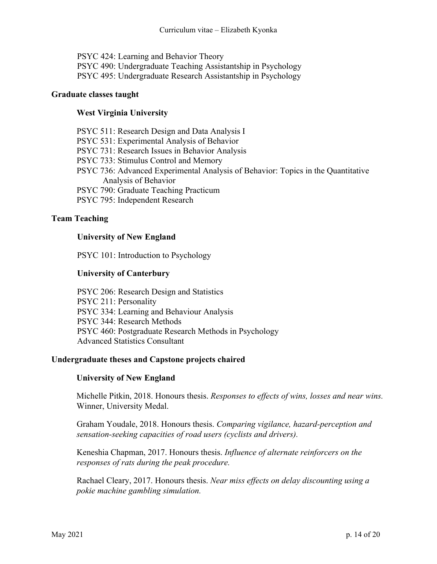PSYC 424: Learning and Behavior Theory PSYC 490: Undergraduate Teaching Assistantship in Psychology PSYC 495: Undergraduate Research Assistantship in Psychology

### **Graduate classes taught**

## **West Virginia University**

PSYC 511: Research Design and Data Analysis I PSYC 531: Experimental Analysis of Behavior PSYC 731: Research Issues in Behavior Analysis PSYC 733: Stimulus Control and Memory PSYC 736: Advanced Experimental Analysis of Behavior: Topics in the Quantitative Analysis of Behavior PSYC 790: Graduate Teaching Practicum PSYC 795: Independent Research

### **Team Teaching**

### **University of New England**

PSYC 101: Introduction to Psychology

### **University of Canterbury**

PSYC 206: Research Design and Statistics PSYC 211: Personality PSYC 334: Learning and Behaviour Analysis PSYC 344: Research Methods PSYC 460: Postgraduate Research Methods in Psychology Advanced Statistics Consultant

### **Undergraduate theses and Capstone projects chaired**

### **University of New England**

Michelle Pitkin, 2018. Honours thesis. *Responses to effects of wins, losses and near wins.* Winner, University Medal.

Graham Youdale, 2018. Honours thesis. *Comparing vigilance, hazard-perception and sensation-seeking capacities of road users (cyclists and drivers).*

Keneshia Chapman, 2017. Honours thesis. *Influence of alternate reinforcers on the responses of rats during the peak procedure.*

Rachael Cleary, 2017. Honours thesis. *Near miss effects on delay discounting using a pokie machine gambling simulation.*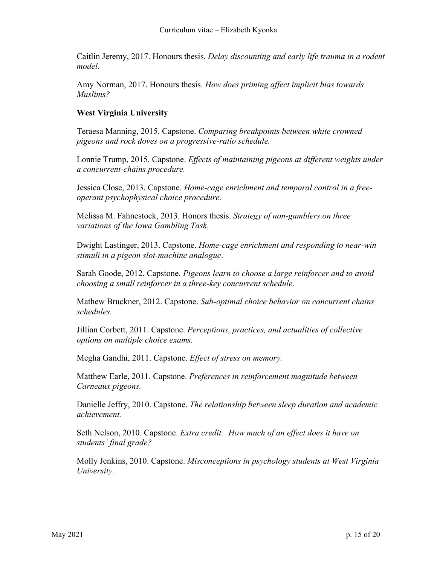Caitlin Jeremy, 2017. Honours thesis. *Delay discounting and early life trauma in a rodent model.*

Amy Norman, 2017. Honours thesis. *How does priming affect implicit bias towards Muslims?*

## **West Virginia University**

Teraesa Manning, 2015. Capstone. *Comparing breakpoints between white crowned pigeons and rock doves on a progressive-ratio schedule.*

Lonnie Trump, 2015. Capstone. *Effects of maintaining pigeons at different weights under a concurrent-chains procedure.*

Jessica Close, 2013. Capstone. *Home-cage enrichment and temporal control in a freeoperant psychophysical choice procedure.*

Melissa M. Fahnestock, 2013. Honors thesis. *Strategy of non-gamblers on three variations of the Iowa Gambling Task*.

Dwight Lastinger, 2013. Capstone. *Home-cage enrichment and responding to near-win stimuli in a pigeon slot-machine analogue*.

Sarah Goode, 2012. Capstone. *Pigeons learn to choose a large reinforcer and to avoid choosing a small reinforcer in a three-key concurrent schedule.*

Mathew Bruckner, 2012. Capstone. *Sub-optimal choice behavior on concurrent chains schedules.*

Jillian Corbett, 2011. Capstone. *Perceptions, practices, and actualities of collective options on multiple choice exams.*

Megha Gandhi, 2011. Capstone. *Effect of stress on memory.*

Matthew Earle, 2011. Capstone. *Preferences in reinforcement magnitude between Carneaux pigeons.*

Danielle Jeffry, 2010. Capstone. *The relationship between sleep duration and academic achievement.*

Seth Nelson, 2010. Capstone. *Extra credit: How much of an effect does it have on students' final grade?*

Molly Jenkins, 2010. Capstone. *Misconceptions in psychology students at West Virginia University.*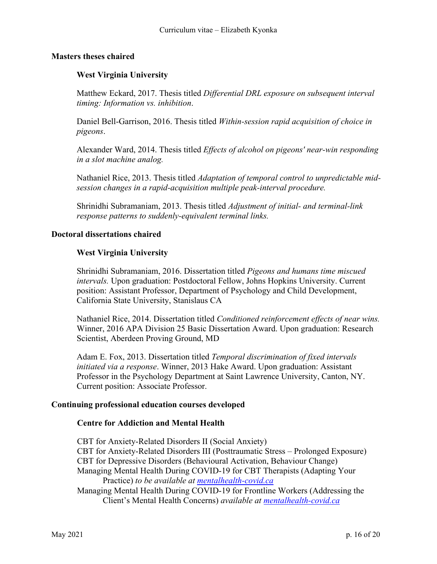### **Masters theses chaired**

## **West Virginia University**

Matthew Eckard, 2017. Thesis titled *Differential DRL exposure on subsequent interval timing: Information vs. inhibition*.

Daniel Bell-Garrison, 2016. Thesis titled *Within-session rapid acquisition of choice in pigeons*.

Alexander Ward, 2014. Thesis titled *Effects of alcohol on pigeons' near-win responding in a slot machine analog.*

Nathaniel Rice, 2013. Thesis titled *Adaptation of temporal control to unpredictable midsession changes in a rapid-acquisition multiple peak-interval procedure.*

Shrinidhi Subramaniam, 2013. Thesis titled *Adjustment of initial- and terminal-link response patterns to suddenly-equivalent terminal links.*

### **Doctoral dissertations chaired**

### **West Virginia University**

Shrinidhi Subramaniam, 2016. Dissertation titled *Pigeons and humans time miscued intervals.* Upon graduation: Postdoctoral Fellow, Johns Hopkins University. Current position: Assistant Professor, Department of Psychology and Child Development, California State University, Stanislaus CA

Nathaniel Rice, 2014. Dissertation titled *Conditioned reinforcement effects of near wins.* Winner, 2016 APA Division 25 Basic Dissertation Award. Upon graduation: Research Scientist, Aberdeen Proving Ground, MD

Adam E. Fox, 2013. Dissertation titled *Temporal discrimination of fixed intervals initiated via a response*. Winner, 2013 Hake Award. Upon graduation: Assistant Professor in the Psychology Department at Saint Lawrence University, Canton, NY. Current position: Associate Professor.

### **Continuing professional education courses developed**

### **Centre for Addiction and Mental Health**

CBT for Anxiety-Related Disorders II (Social Anxiety) CBT for Anxiety-Related Disorders III (Posttraumatic Stress – Prolonged Exposure) CBT for Depressive Disorders (Behavioural Activation, Behaviour Change) Managing Mental Health During COVID-19 for CBT Therapists (Adapting Your Practice) *to be available at [mentalhealth-covid.ca](https://mentalhealth-covid.ca/)* Managing Mental Health During COVID-19 for Frontline Workers (Addressing the

Client's Mental Health Concerns) *available at [mentalhealth-covid.ca](https://mentalhealth-covid.ca/)*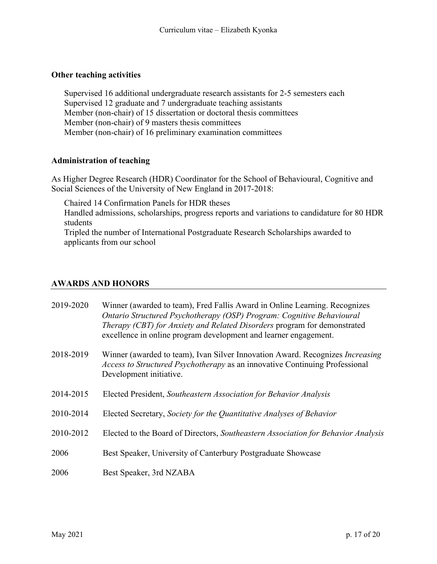## **Other teaching activities**

Supervised 16 additional undergraduate research assistants for 2-5 semesters each Supervised 12 graduate and 7 undergraduate teaching assistants Member (non-chair) of 15 dissertation or doctoral thesis committees Member (non-chair) of 9 masters thesis committees Member (non-chair) of 16 preliminary examination committees

### **Administration of teaching**

As Higher Degree Research (HDR) Coordinator for the School of Behavioural, Cognitive and Social Sciences of the University of New England in 2017-2018:

Chaired 14 Confirmation Panels for HDR theses

Handled admissions, scholarships, progress reports and variations to candidature for 80 HDR students

Tripled the number of International Postgraduate Research Scholarships awarded to applicants from our school

## **AWARDS AND HONORS**

| 2019-2020 | Winner (awarded to team), Fred Fallis Award in Online Learning. Recognizes<br>Ontario Structured Psychotherapy (OSP) Program: Cognitive Behavioural<br>Therapy (CBT) for Anxiety and Related Disorders program for demonstrated<br>excellence in online program development and learner engagement. |
|-----------|-----------------------------------------------------------------------------------------------------------------------------------------------------------------------------------------------------------------------------------------------------------------------------------------------------|
| 2018-2019 | Winner (awarded to team), Ivan Silver Innovation Award. Recognizes <i>Increasing</i><br>Access to Structured Psychotherapy as an innovative Continuing Professional<br>Development initiative.                                                                                                      |
| 2014-2015 | Elected President, Southeastern Association for Behavior Analysis                                                                                                                                                                                                                                   |
| 2010-2014 | Elected Secretary, Society for the Quantitative Analyses of Behavior                                                                                                                                                                                                                                |
| 2010-2012 | Elected to the Board of Directors, Southeastern Association for Behavior Analysis                                                                                                                                                                                                                   |
| 2006      | Best Speaker, University of Canterbury Postgraduate Showcase                                                                                                                                                                                                                                        |
| 2006      | Best Speaker, 3rd NZABA                                                                                                                                                                                                                                                                             |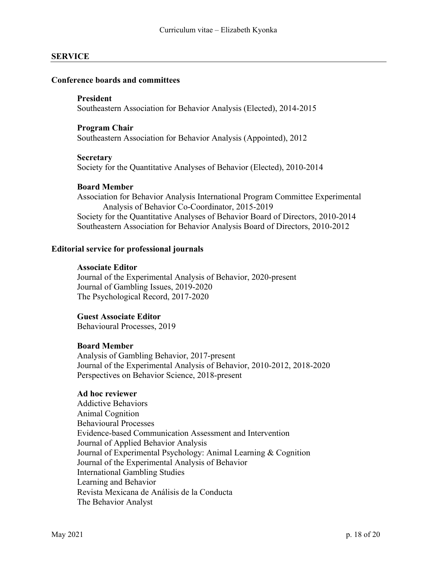### **SERVICE**

#### **Conference boards and committees**

#### **President**

Southeastern Association for Behavior Analysis (Elected), 2014-2015

#### **Program Chair**

Southeastern Association for Behavior Analysis (Appointed), 2012

#### **Secretary**

Society for the Quantitative Analyses of Behavior (Elected), 2010-2014

#### **Board Member**

Association for Behavior Analysis International Program Committee Experimental Analysis of Behavior Co-Coordinator, 2015-2019 Society for the Quantitative Analyses of Behavior Board of Directors, 2010-2014 Southeastern Association for Behavior Analysis Board of Directors, 2010-2012

#### **Editorial service for professional journals**

#### **Associate Editor**

Journal of the Experimental Analysis of Behavior, 2020-present Journal of Gambling Issues, 2019-2020 The Psychological Record, 2017-2020

#### **Guest Associate Editor**

Behavioural Processes, 2019

#### **Board Member**

Analysis of Gambling Behavior, 2017-present Journal of the Experimental Analysis of Behavior, 2010-2012, 2018-2020 Perspectives on Behavior Science, 2018-present

#### **Ad hoc reviewer**

Addictive Behaviors Animal Cognition Behavioural Processes Evidence-based Communication Assessment and Intervention Journal of Applied Behavior Analysis Journal of Experimental Psychology: Animal Learning & Cognition Journal of the Experimental Analysis of Behavior International Gambling Studies Learning and Behavior Revista Mexicana de Análisis de la Conducta The Behavior Analyst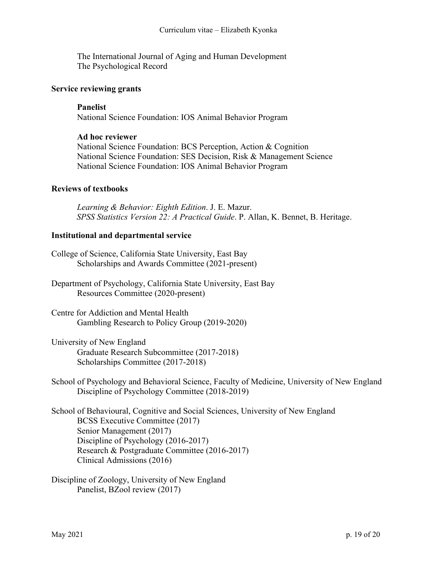The International Journal of Aging and Human Development The Psychological Record

#### **Service reviewing grants**

#### **Panelist**

National Science Foundation: IOS Animal Behavior Program

#### **Ad hoc reviewer**

National Science Foundation: BCS Perception, Action & Cognition National Science Foundation: SES Decision, Risk & Management Science National Science Foundation: IOS Animal Behavior Program

### **Reviews of textbooks**

*Learning & Behavior: Eighth Edition*. J. E. Mazur. *SPSS Statistics Version 22: A Practical Guide*. P. Allan, K. Bennet, B. Heritage.

### **Institutional and departmental service**

- College of Science, California State University, East Bay Scholarships and Awards Committee (2021-present)
- Department of Psychology, California State University, East Bay Resources Committee (2020-present)
- Centre for Addiction and Mental Health Gambling Research to Policy Group (2019-2020)
- University of New England Graduate Research Subcommittee (2017-2018) Scholarships Committee (2017-2018)

School of Psychology and Behavioral Science, Faculty of Medicine, University of New England Discipline of Psychology Committee (2018-2019)

School of Behavioural, Cognitive and Social Sciences, University of New England BCSS Executive Committee (2017) Senior Management (2017) Discipline of Psychology (2016-2017) Research & Postgraduate Committee (2016-2017) Clinical Admissions (2016)

Discipline of Zoology, University of New England Panelist, BZool review (2017)